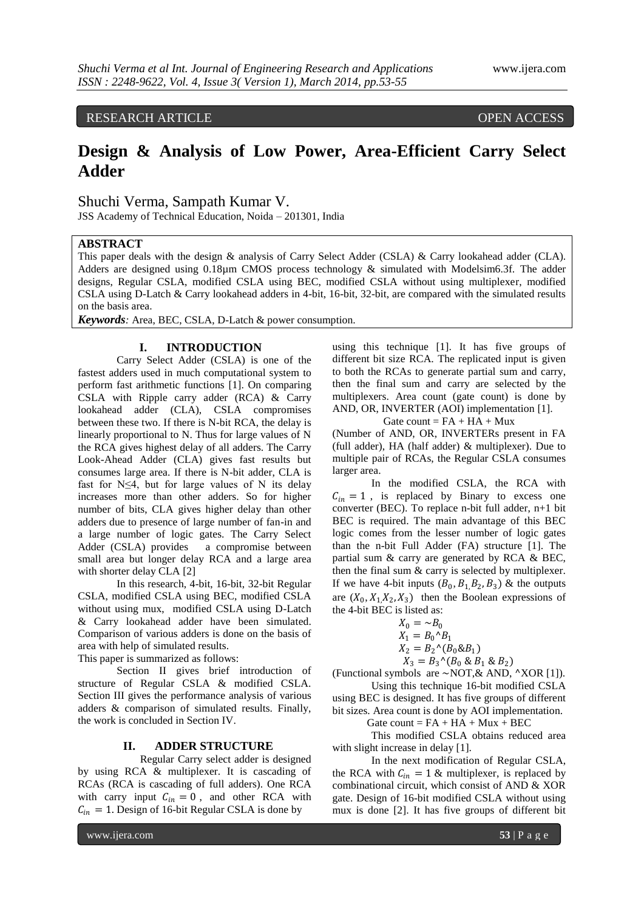RESEARCH ARTICLE OPEN ACCESS

## **Design & Analysis of Low Power, Area-Efficient Carry Select Adder**

Shuchi Verma, Sampath Kumar V.

JSS Academy of Technical Education, Noida – 201301, India

### **ABSTRACT**

This paper deals with the design & analysis of Carry Select Adder (CSLA) & Carry lookahead adder (CLA). Adders are designed using 0.18µm CMOS process technology & simulated with Modelsim6.3f. The adder designs, Regular CSLA, modified CSLA using BEC, modified CSLA without using multiplexer, modified CSLA using D-Latch & Carry lookahead adders in 4-bit, 16-bit, 32-bit, are compared with the simulated results on the basis area.

*Keywords:* Area, BEC, CSLA, D-Latch & power consumption.

### **I. INTRODUCTION**

Carry Select Adder (CSLA) is one of the fastest adders used in much computational system to perform fast arithmetic functions [1]. On comparing CSLA with Ripple carry adder (RCA) & Carry lookahead adder (CLA), CSLA compromises between these two. If there is N-bit RCA, the delay is linearly proportional to N. Thus for large values of N the RCA gives highest delay of all adders. The Carry Look-Ahead Adder (CLA) gives fast results but consumes large area. If there is N-bit adder, CLA is fast for  $N \leq 4$ , but for large values of N its delay increases more than other adders. So for higher number of bits, CLA gives higher delay than other adders due to presence of large number of fan-in and a large number of logic gates. The Carry Select Adder (CSLA) provides a compromise between small area but longer delay RCA and a large area with shorter delay CLA [2]

In this research, 4-bit, 16-bit, 32-bit Regular CSLA, modified CSLA using BEC, modified CSLA without using mux, modified CSLA using D-Latch & Carry lookahead adder have been simulated. Comparison of various adders is done on the basis of area with help of simulated results.

This paper is summarized as follows:

Section II gives brief introduction of structure of Regular CSLA & modified CSLA. Section III gives the performance analysis of various adders & comparison of simulated results. Finally, the work is concluded in Section IV.

#### **II. ADDER STRUCTURE**

 Regular Carry select adder is designed by using RCA & multiplexer. It is cascading of RCAs (RCA is cascading of full adders). One RCA with carry input  $C_{in} = 0$ , and other RCA with  $C_{in} = 1$ . Design of 16-bit Regular CSLA is done by

using this technique [1]. It has five groups of different bit size RCA. The replicated input is given to both the RCAs to generate partial sum and carry, then the final sum and carry are selected by the multiplexers. Area count (gate count) is done by AND, OR, INVERTER (AOI) implementation [1].

Gate count =  $FA + HA + Mux$ 

(Number of AND, OR, INVERTERs present in FA (full adder), HA (half adder) & multiplexer). Due to multiple pair of RCAs, the Regular CSLA consumes larger area.

In the modified CSLA, the RCA with  $C_{in} = 1$ , is replaced by Binary to excess one converter (BEC). To replace n-bit full adder, n+1 bit BEC is required. The main advantage of this BEC logic comes from the lesser number of logic gates than the n-bit Full Adder (FA) structure [1]. The partial sum & carry are generated by RCA & BEC, then the final sum & carry is selected by multiplexer. If we have 4-bit inputs  $(B_0, B_1, B_2, B_3)$  & the outputs are  $(X_0, X_1, X_2, X_3)$  then the Boolean expressions of the 4-bit BEC is listed as:

$$
X_0 = \sim B_0
$$
  
\n
$$
X_1 = B_0^{\wedge} B_1
$$
  
\n
$$
X_2 = B_2^{\wedge} (B_0 \& B_1)
$$
  
\n
$$
X_3 = B_3^{\wedge} (B_0 \& B_1 \& B_2)
$$

(Functional symbols are  $\sim$ NOT, & AND,  $^{\wedge}$ XOR [1]).

Using this technique 16-bit modified CSLA using BEC is designed. It has five groups of different bit sizes. Area count is done by AOI implementation.

Gate count =  $FA + HA + Mux + BEC$ 

This modified CSLA obtains reduced area with slight increase in delay [1].

In the next modification of Regular CSLA, the RCA with  $C_{in} = 1$  & multiplexer, is replaced by combinational circuit, which consist of AND & XOR gate. Design of 16-bit modified CSLA without using mux is done [2]. It has five groups of different bit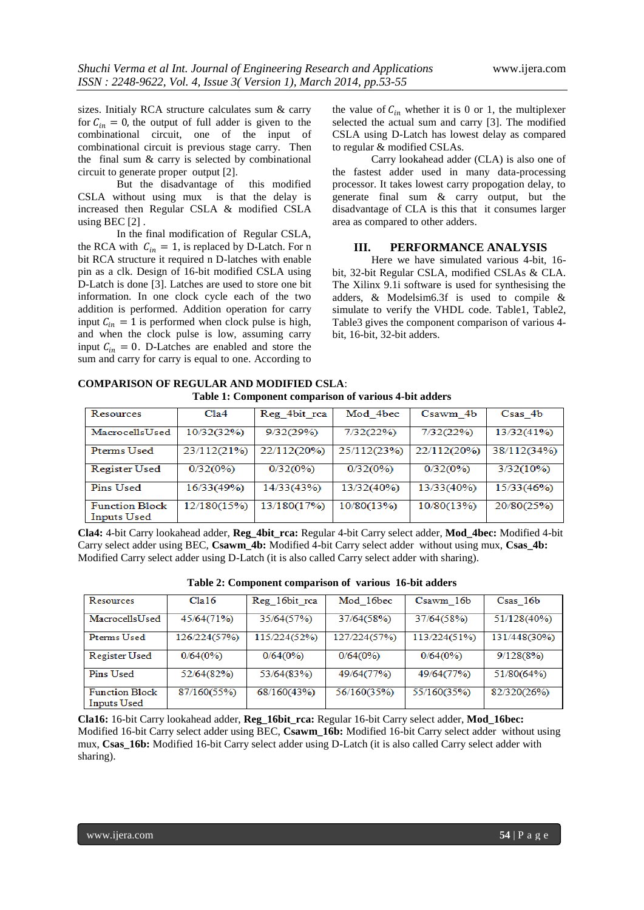sizes. Initialy RCA structure calculates sum & carry for  $C_{in} = 0$ , the output of full adder is given to the combinational circuit, one of the input of combinational circuit is previous stage carry. Then the final sum & carry is selected by combinational circuit to generate proper output [2].

But the disadvantage of this modified CSLA without using mux is that the delay is increased then Regular CSLA & modified CSLA using BEC [2] .

In the final modification of Regular CSLA, the RCA with  $C_{in} = 1$ , is replaced by D-Latch. For n bit RCA structure it required n D-latches with enable pin as a clk. Design of 16-bit modified CSLA using D-Latch is done [3]. Latches are used to store one bit information. In one clock cycle each of the two addition is performed. Addition operation for carry input  $C_{in} = 1$  is performed when clock pulse is high, and when the clock pulse is low, assuming carry input  $C_{in} = 0$ . D-Latches are enabled and store the sum and carry for carry is equal to one. According to the value of  $C_{in}$  whether it is 0 or 1, the multiplexer selected the actual sum and carry [3]. The modified CSLA using D-Latch has lowest delay as compared to regular & modified CSLAs.

Carry lookahead adder (CLA) is also one of the fastest adder used in many data-processing processor. It takes lowest carry propogation delay, to generate final sum & carry output, but the disadvantage of CLA is this that it consumes larger area as compared to other adders.

### **III. PERFORMANCE ANALYSIS**

Here we have simulated various 4-bit, 16 bit, 32-bit Regular CSLA, modified CSLAs & CLA. The Xilinx 9.1i software is used for synthesising the adders, & Modelsim6.3f is used to compile & simulate to verify the VHDL code. Table1, Table2, Table3 gives the component comparison of various 4 bit, 16-bit, 32-bit adders.

# **COMPARISON OF REGULAR AND MODIFIED CSLA**:

| Table 1: Component comparison of various 4-bit adders |  |  |  |
|-------------------------------------------------------|--|--|--|
|-------------------------------------------------------|--|--|--|

| Resources                                   | C1a4        | Reg_4bit_rca | Mod 4bec    | Csawm 4b    | Csas 4b      |
|---------------------------------------------|-------------|--------------|-------------|-------------|--------------|
| MacrocellsUsed                              | 10/32(32%)  | 9/32(29%)    | 7/32(22%)   | 7/32(22%)   | 13/32(41%)   |
| Pterms Used                                 | 23/112(21%) | 22/112(20%)  | 25/112(23%) | 22/112(20%) | 38/112(34%)  |
| Register Used                               | 0/32(0%)    | 0/32(0%)     | 0/32(0%)    | 0/32(0%)    | $3/32(10\%)$ |
| Pins Used                                   | 16/33(49%)  | 14/33(43%)   | 13/32(40%)  | 13/33(40%)  | 15/33(46%)   |
| <b>Function Block</b><br><b>Inputs Used</b> | 12/180(15%) | 13/180(17%)  | 10/80(13%)  | 10/80(13%)  | 20/80(25%)   |

**Cla4:** 4-bit Carry lookahead adder, **Reg\_4bit\_rca:** Regular 4-bit Carry select adder, **Mod\_4bec:** Modified 4-bit Carry select adder using BEC, **Csawm\_4b:** Modified 4-bit Carry select adder without using mux, **Csas\_4b:** Modified Carry select adder using D-Latch (it is also called Carry select adder with sharing).

**Table 2: Component comparison of various 16-bit adders**

| Resources                                   | Cla16        | Reg_16bit_rca | Mod 16bec    | Csawm 16b    | $Csas$ 16 $b$ |
|---------------------------------------------|--------------|---------------|--------------|--------------|---------------|
| MacrocellsUsed                              | 45/64(71%)   | 35/64(57%)    | 37/64(58%)   | 37/64(58%)   | 51/128(40%)   |
| Pterms Used                                 | 126/224(57%) | 115/224(52%)  | 127/224(57%) | 113/224(51%) | 131/448(30%)  |
| Register Used                               | 0/64(0%)     | $0/64(0\%)$   | 0/64(0%)     | $0/64(0\%)$  | 9/128(8%)     |
| Pins Used                                   | 52/64(82%)   | 53/64(83%)    | 49/64(77%)   | 49/64(77%)   | 51/80(64%)    |
| <b>Function Block</b><br><b>Inputs Used</b> | 87/160(55%)  | 68/160(43%)   | 56/160(35%)  | 55/160(35%)  | 82/320(26%)   |

**Cla16:** 16-bit Carry lookahead adder, **Reg\_16bit\_rca:** Regular 16-bit Carry select adder, **Mod\_16bec:** Modified 16-bit Carry select adder using BEC, **Csawm\_16b:** Modified 16-bit Carry select adder without using mux, **Csas\_16b:** Modified 16-bit Carry select adder using D-Latch (it is also called Carry select adder with sharing).